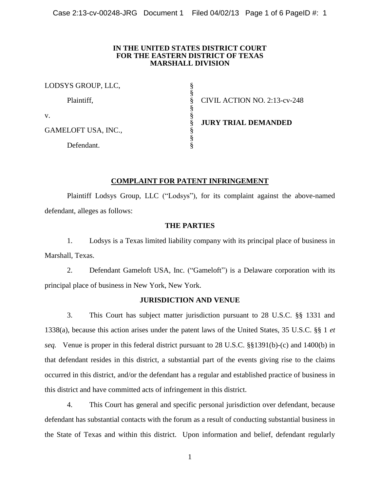## **IN THE UNITED STATES DISTRICT COURT FOR THE EASTERN DISTRICT OF TEXAS MARSHALL DIVISION**

| LODSYS GROUP, LLC,  |                              |
|---------------------|------------------------------|
| Plaintiff,          | CIVIL ACTION NO. 2:13-cv-248 |
| V.                  |                              |
| GAMELOFT USA, INC., | <b>JURY TRIAL DEMANDED</b>   |
| Defendant.          |                              |

# **COMPLAINT FOR PATENT INFRINGEMENT**

Plaintiff Lodsys Group, LLC ("Lodsys"), for its complaint against the above-named defendant, alleges as follows:

# **THE PARTIES**

1. Lodsys is a Texas limited liability company with its principal place of business in Marshall, Texas.

2. Defendant Gameloft USA, Inc. ("Gameloft") is a Delaware corporation with its principal place of business in New York, New York.

## **JURISDICTION AND VENUE**

3. This Court has subject matter jurisdiction pursuant to 28 U.S.C. §§ 1331 and 1338(a), because this action arises under the patent laws of the United States, 35 U.S.C. §§ 1 *et seq.* Venue is proper in this federal district pursuant to 28 U.S.C. §§1391(b)-(c) and 1400(b) in that defendant resides in this district, a substantial part of the events giving rise to the claims occurred in this district, and/or the defendant has a regular and established practice of business in this district and have committed acts of infringement in this district.

4. This Court has general and specific personal jurisdiction over defendant, because defendant has substantial contacts with the forum as a result of conducting substantial business in the State of Texas and within this district. Upon information and belief, defendant regularly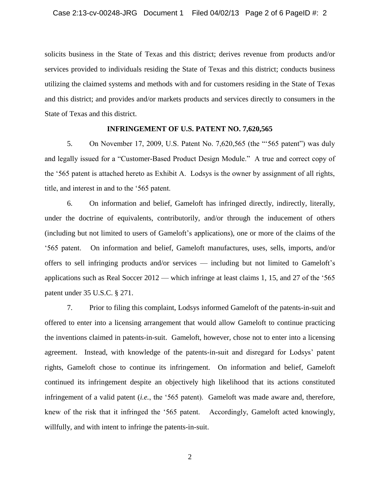solicits business in the State of Texas and this district; derives revenue from products and/or services provided to individuals residing the State of Texas and this district; conducts business utilizing the claimed systems and methods with and for customers residing in the State of Texas and this district; and provides and/or markets products and services directly to consumers in the State of Texas and this district.

## **INFRINGEMENT OF U.S. PATENT NO. 7,620,565**

5. On November 17, 2009, U.S. Patent No. 7,620,565 (the "'565 patent") was duly and legally issued for a "Customer-Based Product Design Module." A true and correct copy of the '565 patent is attached hereto as Exhibit A. Lodsys is the owner by assignment of all rights, title, and interest in and to the '565 patent.

6. On information and belief, Gameloft has infringed directly, indirectly, literally, under the doctrine of equivalents, contributorily, and/or through the inducement of others (including but not limited to users of Gameloft's applications), one or more of the claims of the '565 patent. On information and belief, Gameloft manufactures, uses, sells, imports, and/or offers to sell infringing products and/or services — including but not limited to Gameloft's applications such as Real Soccer 2012 — which infringe at least claims 1, 15, and 27 of the '565 patent under 35 U.S.C. § 271.

7. Prior to filing this complaint, Lodsys informed Gameloft of the patents-in-suit and offered to enter into a licensing arrangement that would allow Gameloft to continue practicing the inventions claimed in patents-in-suit. Gameloft, however, chose not to enter into a licensing agreement. Instead, with knowledge of the patents-in-suit and disregard for Lodsys' patent rights, Gameloft chose to continue its infringement. On information and belief, Gameloft continued its infringement despite an objectively high likelihood that its actions constituted infringement of a valid patent (*i.e.*, the '565 patent). Gameloft was made aware and, therefore, knew of the risk that it infringed the '565 patent. Accordingly, Gameloft acted knowingly, willfully, and with intent to infringe the patents-in-suit.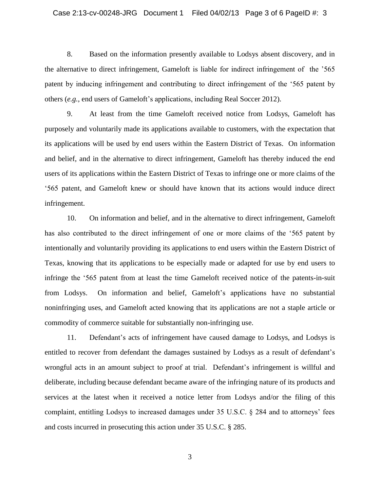8. Based on the information presently available to Lodsys absent discovery, and in the alternative to direct infringement, Gameloft is liable for indirect infringement of the '565 patent by inducing infringement and contributing to direct infringement of the '565 patent by others (*e.g.*, end users of Gameloft's applications, including Real Soccer 2012).

9. At least from the time Gameloft received notice from Lodsys, Gameloft has purposely and voluntarily made its applications available to customers, with the expectation that its applications will be used by end users within the Eastern District of Texas. On information and belief, and in the alternative to direct infringement, Gameloft has thereby induced the end users of its applications within the Eastern District of Texas to infringe one or more claims of the '565 patent, and Gameloft knew or should have known that its actions would induce direct infringement.

10. On information and belief, and in the alternative to direct infringement, Gameloft has also contributed to the direct infringement of one or more claims of the '565 patent by intentionally and voluntarily providing its applications to end users within the Eastern District of Texas, knowing that its applications to be especially made or adapted for use by end users to infringe the '565 patent from at least the time Gameloft received notice of the patents-in-suit from Lodsys. On information and belief, Gameloft's applications have no substantial noninfringing uses, and Gameloft acted knowing that its applications are not a staple article or commodity of commerce suitable for substantially non-infringing use.

11. Defendant's acts of infringement have caused damage to Lodsys, and Lodsys is entitled to recover from defendant the damages sustained by Lodsys as a result of defendant's wrongful acts in an amount subject to proof at trial. Defendant's infringement is willful and deliberate, including because defendant became aware of the infringing nature of its products and services at the latest when it received a notice letter from Lodsys and/or the filing of this complaint, entitling Lodsys to increased damages under 35 U.S.C. § 284 and to attorneys' fees and costs incurred in prosecuting this action under 35 U.S.C. § 285.

3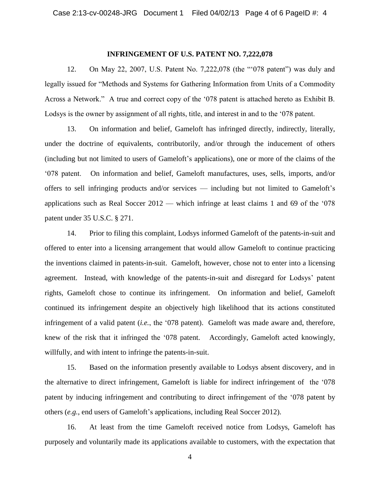#### **INFRINGEMENT OF U.S. PATENT NO. 7,222,078**

12. On May 22, 2007, U.S. Patent No. 7,222,078 (the "'078 patent") was duly and legally issued for "Methods and Systems for Gathering Information from Units of a Commodity Across a Network." A true and correct copy of the '078 patent is attached hereto as Exhibit B. Lodsys is the owner by assignment of all rights, title, and interest in and to the '078 patent.

13. On information and belief, Gameloft has infringed directly, indirectly, literally, under the doctrine of equivalents, contributorily, and/or through the inducement of others (including but not limited to users of Gameloft's applications), one or more of the claims of the '078 patent. On information and belief, Gameloft manufactures, uses, sells, imports, and/or offers to sell infringing products and/or services — including but not limited to Gameloft's applications such as Real Soccer 2012 — which infringe at least claims 1 and 69 of the '078 patent under 35 U.S.C. § 271.

14. Prior to filing this complaint, Lodsys informed Gameloft of the patents-in-suit and offered to enter into a licensing arrangement that would allow Gameloft to continue practicing the inventions claimed in patents-in-suit. Gameloft, however, chose not to enter into a licensing agreement. Instead, with knowledge of the patents-in-suit and disregard for Lodsys' patent rights, Gameloft chose to continue its infringement. On information and belief, Gameloft continued its infringement despite an objectively high likelihood that its actions constituted infringement of a valid patent (*i.e.*, the '078 patent). Gameloft was made aware and, therefore, knew of the risk that it infringed the '078 patent. Accordingly, Gameloft acted knowingly, willfully, and with intent to infringe the patents-in-suit.

15. Based on the information presently available to Lodsys absent discovery, and in the alternative to direct infringement, Gameloft is liable for indirect infringement of the '078 patent by inducing infringement and contributing to direct infringement of the '078 patent by others (*e.g.*, end users of Gameloft's applications, including Real Soccer 2012).

16. At least from the time Gameloft received notice from Lodsys, Gameloft has purposely and voluntarily made its applications available to customers, with the expectation that

4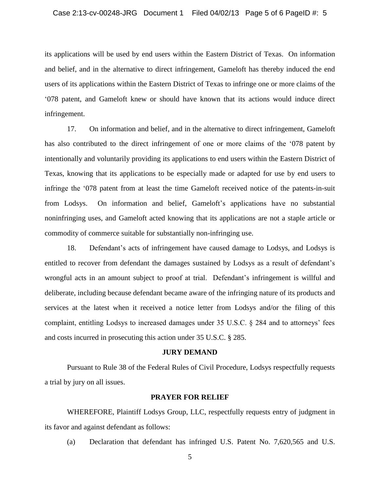its applications will be used by end users within the Eastern District of Texas. On information and belief, and in the alternative to direct infringement, Gameloft has thereby induced the end users of its applications within the Eastern District of Texas to infringe one or more claims of the '078 patent, and Gameloft knew or should have known that its actions would induce direct infringement.

17. On information and belief, and in the alternative to direct infringement, Gameloft has also contributed to the direct infringement of one or more claims of the '078 patent by intentionally and voluntarily providing its applications to end users within the Eastern District of Texas, knowing that its applications to be especially made or adapted for use by end users to infringe the '078 patent from at least the time Gameloft received notice of the patents-in-suit from Lodsys. On information and belief, Gameloft's applications have no substantial noninfringing uses, and Gameloft acted knowing that its applications are not a staple article or commodity of commerce suitable for substantially non-infringing use.

18. Defendant's acts of infringement have caused damage to Lodsys, and Lodsys is entitled to recover from defendant the damages sustained by Lodsys as a result of defendant's wrongful acts in an amount subject to proof at trial. Defendant's infringement is willful and deliberate, including because defendant became aware of the infringing nature of its products and services at the latest when it received a notice letter from Lodsys and/or the filing of this complaint, entitling Lodsys to increased damages under 35 U.S.C. § 284 and to attorneys' fees and costs incurred in prosecuting this action under 35 U.S.C. § 285.

#### **JURY DEMAND**

Pursuant to Rule 38 of the Federal Rules of Civil Procedure, Lodsys respectfully requests a trial by jury on all issues.

#### **PRAYER FOR RELIEF**

WHEREFORE, Plaintiff Lodsys Group, LLC, respectfully requests entry of judgment in its favor and against defendant as follows:

(a) Declaration that defendant has infringed U.S. Patent No. 7,620,565 and U.S.